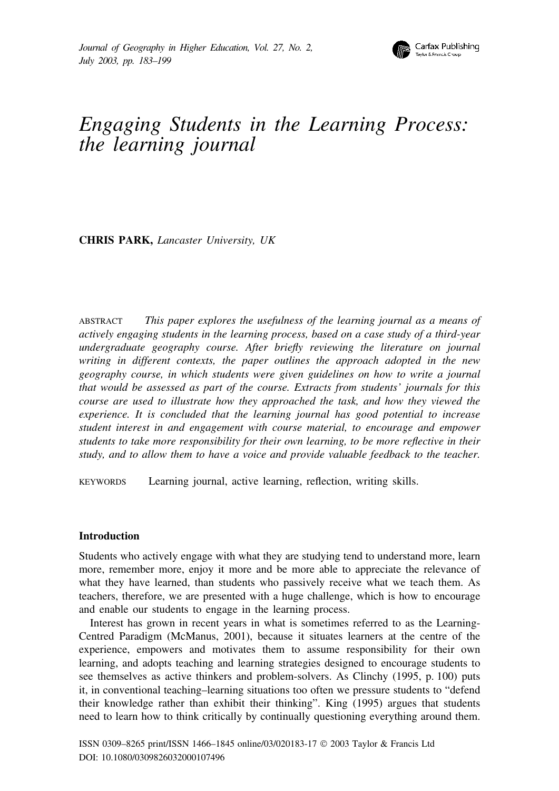

# *Engaging Students in the Learning Process: the learning journal*

**CHRIS PARK,** *Lancaster University, UK*

ABSTRACT *This paper explores the usefulness of the learning journal as a means of actively engaging students in the learning process, based on a case study of a third-year undergraduate geography course. After briefly reviewing the literature on journal writing in different contexts, the paper outlines the approach adopted in the new geography course, in which students were given guidelines on how to write a journal that would be assessed as part of the course. Extracts from students' journals for this course are used to illustrate how they approached the task, and how they viewed the experience. It is concluded that the learning journal has good potential to increase student interest in and engagement with course material, to encourage and empower students to take more responsibility for their own learning, to be more reflective in their study, and to allow them to have a voice and provide valuable feedback to the teacher.*

KEYWORDS Learning journal, active learning, reflection, writing skills.

#### **Introduction**

Students who actively engage with what they are studying tend to understand more, learn more, remember more, enjoy it more and be more able to appreciate the relevance of what they have learned, than students who passively receive what we teach them. As teachers, therefore, we are presented with a huge challenge, which is how to encourage and enable our students to engage in the learning process.

Interest has grown in recent years in what is sometimes referred to as the Learning-Centred Paradigm (McManus, 2001), because it situates learners at the centre of the experience, empowers and motivates them to assume responsibility for their own learning, and adopts teaching and learning strategies designed to encourage students to see themselves as active thinkers and problem-solvers. As Clinchy (1995, p. 100) puts it, in conventional teaching–learning situations too often we pressure students to "defend their knowledge rather than exhibit their thinking". King (1995) argues that students need to learn how to think critically by continually questioning everything around them.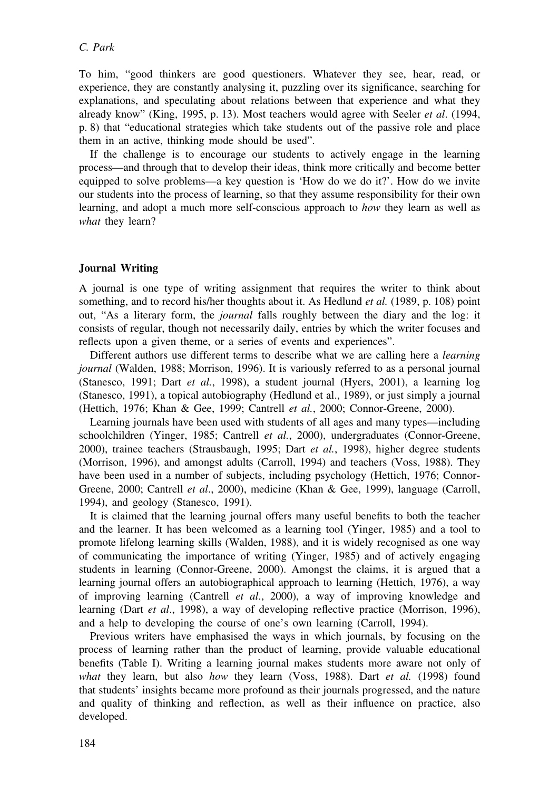To him, "good thinkers are good questioners. Whatever they see, hear, read, or experience, they are constantly analysing it, puzzling over its significance, searching for explanations, and speculating about relations between that experience and what they already know" (King, 1995, p. 13). Most teachers would agree with Seeler *et al*. (1994, p. 8) that "educational strategies which take students out of the passive role and place them in an active, thinking mode should be used".

If the challenge is to encourage our students to actively engage in the learning process—and through that to develop their ideas, think more critically and become better equipped to solve problems—a key question is 'How do we do it?'. How do we invite our students into the process of learning, so that they assume responsibility for their own learning, and adopt a much more self-conscious approach to *how* they learn as well as *what* they learn?

## **Journal Writing**

A journal is one type of writing assignment that requires the writer to think about something, and to record his/her thoughts about it. As Hedlund *et al.* (1989, p. 108) point out, "As a literary form, the *journal* falls roughly between the diary and the log: it consists of regular, though not necessarily daily, entries by which the writer focuses and reflects upon a given theme, or a series of events and experiences".

Different authors use different terms to describe what we are calling here a *learning journal* (Walden, 1988; Morrison, 1996). It is variously referred to as a personal journal (Stanesco, 1991; Dart *et al.*, 1998), a student journal (Hyers, 2001), a learning log (Stanesco, 1991), a topical autobiography (Hedlund et al., 1989), or just simply a journal (Hettich, 1976; Khan & Gee, 1999; Cantrell *et al.*, 2000; Connor-Greene, 2000).

Learning journals have been used with students of all ages and many types—including schoolchildren (Yinger, 1985; Cantrell *et al.*, 2000), undergraduates (Connor-Greene, 2000), trainee teachers (Strausbaugh, 1995; Dart *et al.*, 1998), higher degree students (Morrison, 1996), and amongst adults (Carroll, 1994) and teachers (Voss, 1988). They have been used in a number of subjects, including psychology (Hettich, 1976; Connor-Greene, 2000; Cantrell *et al*., 2000), medicine (Khan & Gee, 1999), language (Carroll, 1994), and geology (Stanesco, 1991).

It is claimed that the learning journal offers many useful benefits to both the teacher and the learner. It has been welcomed as a learning tool (Yinger, 1985) and a tool to promote lifelong learning skills (Walden, 1988), and it is widely recognised as one way of communicating the importance of writing (Yinger, 1985) and of actively engaging students in learning (Connor-Greene, 2000). Amongst the claims, it is argued that a learning journal offers an autobiographical approach to learning (Hettich, 1976), a way of improving learning (Cantrell *et al*., 2000), a way of improving knowledge and learning (Dart *et al*., 1998), a way of developing reflective practice (Morrison, 1996), and a help to developing the course of one's own learning (Carroll, 1994).

Previous writers have emphasised the ways in which journals, by focusing on the process of learning rather than the product of learning, provide valuable educational benefits (Table I). Writing a learning journal makes students more aware not only of *what* they learn, but also *how* they learn (Voss, 1988). Dart *et al.* (1998) found that students' insights became more profound as their journals progressed, and the nature and quality of thinking and reflection, as well as their influence on practice, also developed.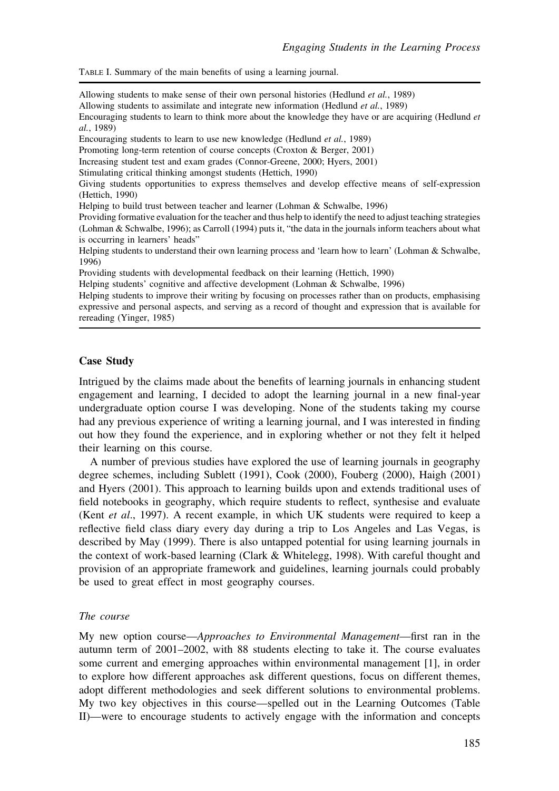TABLE I. Summary of the main benefits of using a learning journal.

Allowing students to make sense of their own personal histories (Hedlund *et al.*, 1989)

Allowing students to assimilate and integrate new information (Hedlund *et al.*, 1989)

Encouraging students to learn to think more about the knowledge they have or are acquiring (Hedlund *et al.*, 1989)

Encouraging students to learn to use new knowledge (Hedlund *et al.*, 1989)

Promoting long-term retention of course concepts (Croxton & Berger, 2001)

Increasing student test and exam grades (Connor-Greene, 2000; Hyers, 2001)

Stimulating critical thinking amongst students (Hettich, 1990)

Giving students opportunities to express themselves and develop effective means of self-expression (Hettich, 1990)

Helping to build trust between teacher and learner (Lohman & Schwalbe, 1996)

Providing formative evaluation for the teacher and thus help to identify the need to adjust teaching strategies (Lohman & Schwalbe, 1996); as Carroll (1994) puts it, "the data in the journals inform teachers about what is occurring in learners' heads"

Helping students to understand their own learning process and 'learn how to learn' (Lohman & Schwalbe, 1996)

Providing students with developmental feedback on their learning (Hettich, 1990)

Helping students' cognitive and affective development (Lohman & Schwalbe, 1996)

Helping students to improve their writing by focusing on processes rather than on products, emphasising expressive and personal aspects, and serving as a record of thought and expression that is available for rereading (Yinger, 1985)

#### **Case Study**

Intrigued by the claims made about the benefits of learning journals in enhancing student engagement and learning, I decided to adopt the learning journal in a new final-year undergraduate option course I was developing. None of the students taking my course had any previous experience of writing a learning journal, and I was interested in finding out how they found the experience, and in exploring whether or not they felt it helped their learning on this course.

A number of previous studies have explored the use of learning journals in geography degree schemes, including Sublett (1991), Cook (2000), Fouberg (2000), Haigh (2001) and Hyers (2001). This approach to learning builds upon and extends traditional uses of field notebooks in geography, which require students to reflect, synthesise and evaluate (Kent *et al*., 1997). A recent example, in which UK students were required to keep a reflective field class diary every day during a trip to Los Angeles and Las Vegas, is described by May (1999). There is also untapped potential for using learning journals in the context of work-based learning (Clark & Whitelegg, 1998). With careful thought and provision of an appropriate framework and guidelines, learning journals could probably be used to great effect in most geography courses.

#### *The course*

My new option course—*Approaches to Environmental Management*—first ran in the autumn term of 2001–2002, with 88 students electing to take it. The course evaluates some current and emerging approaches within environmental management [1], in order to explore how different approaches ask different questions, focus on different themes, adopt different methodologies and seek different solutions to environmental problems. My two key objectives in this course—spelled out in the Learning Outcomes (Table II)—were to encourage students to actively engage with the information and concepts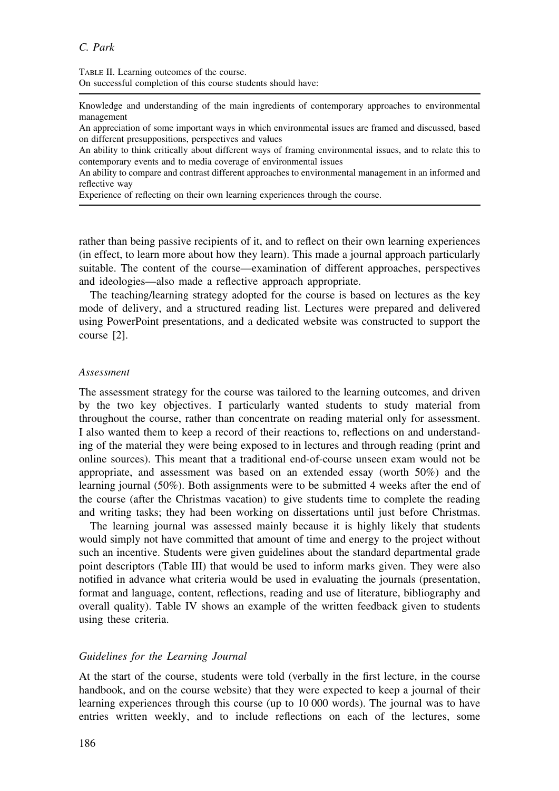#### *C. Park*

TABLE II. Learning outcomes of the course. On successful completion of this course students should have:

Knowledge and understanding of the main ingredients of contemporary approaches to environmental management

An appreciation of some important ways in which environmental issues are framed and discussed, based on different presuppositions, perspectives and values

An ability to think critically about different ways of framing environmental issues, and to relate this to contemporary events and to media coverage of environmental issues

An ability to compare and contrast different approaches to environmental management in an informed and reflective way

Experience of reflecting on their own learning experiences through the course.

rather than being passive recipients of it, and to reflect on their own learning experiences (in effect, to learn more about how they learn). This made a journal approach particularly suitable. The content of the course—examination of different approaches, perspectives and ideologies—also made a reflective approach appropriate.

The teaching/learning strategy adopted for the course is based on lectures as the key mode of delivery, and a structured reading list. Lectures were prepared and delivered using PowerPoint presentations, and a dedicated website was constructed to support the course [2].

#### *Assessment*

The assessment strategy for the course was tailored to the learning outcomes, and driven by the two key objectives. I particularly wanted students to study material from throughout the course, rather than concentrate on reading material only for assessment. I also wanted them to keep a record of their reactions to, reflections on and understanding of the material they were being exposed to in lectures and through reading (print and online sources). This meant that a traditional end-of-course unseen exam would not be appropriate, and assessment was based on an extended essay (worth 50%) and the learning journal (50%). Both assignments were to be submitted 4 weeks after the end of the course (after the Christmas vacation) to give students time to complete the reading and writing tasks; they had been working on dissertations until just before Christmas.

The learning journal was assessed mainly because it is highly likely that students would simply not have committed that amount of time and energy to the project without such an incentive. Students were given guidelines about the standard departmental grade point descriptors (Table III) that would be used to inform marks given. They were also notified in advance what criteria would be used in evaluating the journals (presentation, format and language, content, reflections, reading and use of literature, bibliography and overall quality). Table IV shows an example of the written feedback given to students using these criteria.

#### *Guidelines for the Learning Journal*

At the start of the course, students were told (verbally in the first lecture, in the course handbook, and on the course website) that they were expected to keep a journal of their learning experiences through this course (up to 10 000 words). The journal was to have entries written weekly, and to include reflections on each of the lectures, some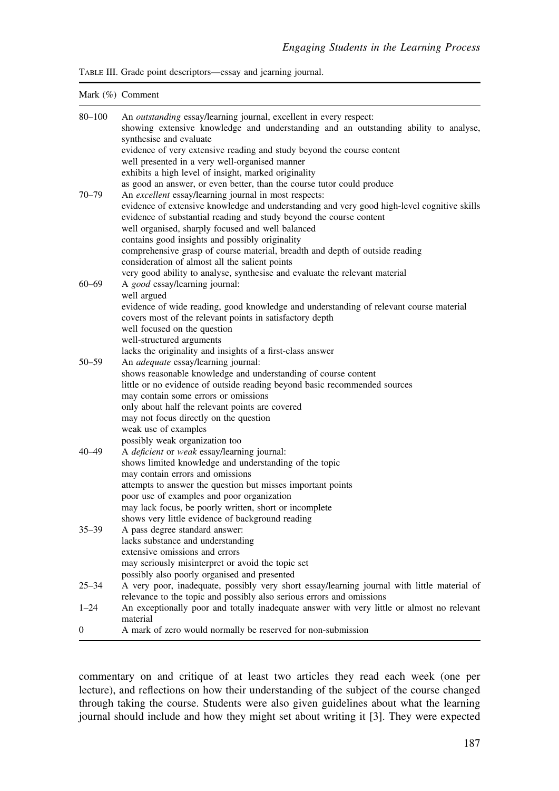TABLE III. Grade point descriptors—essay and jearning journal.

|           | Mark $(\%)$ Comment                                                                                                                                                                          |
|-----------|----------------------------------------------------------------------------------------------------------------------------------------------------------------------------------------------|
| 80-100    | An <i>outstanding</i> essay/learning journal, excellent in every respect:<br>showing extensive knowledge and understanding and an outstanding ability to analyse,<br>synthesise and evaluate |
|           | evidence of very extensive reading and study beyond the course content<br>well presented in a very well-organised manner                                                                     |
|           | exhibits a high level of insight, marked originality                                                                                                                                         |
| $70 - 79$ | as good an answer, or even better, than the course tutor could produce                                                                                                                       |
|           | An excellent essay/learning journal in most respects:<br>evidence of extensive knowledge and understanding and very good high-level cognitive skills                                         |
|           | evidence of substantial reading and study beyond the course content                                                                                                                          |
|           | well organised, sharply focused and well balanced                                                                                                                                            |
|           | contains good insights and possibly originality                                                                                                                                              |
|           | comprehensive grasp of course material, breadth and depth of outside reading                                                                                                                 |
|           | consideration of almost all the salient points                                                                                                                                               |
| $60 - 69$ | very good ability to analyse, synthesise and evaluate the relevant material                                                                                                                  |
|           | A <i>good</i> essay/learning journal:<br>well argued                                                                                                                                         |
|           | evidence of wide reading, good knowledge and understanding of relevant course material                                                                                                       |
|           | covers most of the relevant points in satisfactory depth                                                                                                                                     |
|           | well focused on the question                                                                                                                                                                 |
|           | well-structured arguments                                                                                                                                                                    |
|           | lacks the originality and insights of a first-class answer                                                                                                                                   |
| 50-59     | An adequate essay/learning journal:<br>shows reasonable knowledge and understanding of course content                                                                                        |
|           | little or no evidence of outside reading beyond basic recommended sources                                                                                                                    |
|           | may contain some errors or omissions                                                                                                                                                         |
|           | only about half the relevant points are covered                                                                                                                                              |
|           | may not focus directly on the question                                                                                                                                                       |
|           | weak use of examples                                                                                                                                                                         |
| 40–49     | possibly weak organization too<br>A deficient or weak essay/learning journal:                                                                                                                |
|           | shows limited knowledge and understanding of the topic                                                                                                                                       |
|           | may contain errors and omissions                                                                                                                                                             |
|           | attempts to answer the question but misses important points                                                                                                                                  |
|           | poor use of examples and poor organization                                                                                                                                                   |
|           | may lack focus, be poorly written, short or incomplete                                                                                                                                       |
| $35 - 39$ | shows very little evidence of background reading                                                                                                                                             |
|           | A pass degree standard answer:<br>lacks substance and understanding                                                                                                                          |
|           | extensive omissions and errors                                                                                                                                                               |
|           | may seriously misinterpret or avoid the topic set                                                                                                                                            |
|           | possibly also poorly organised and presented                                                                                                                                                 |
| $25 - 34$ | A very poor, inadequate, possibly very short essay/learning journal with little material of                                                                                                  |
|           | relevance to the topic and possibly also serious errors and omissions                                                                                                                        |
| $1 - 24$  | An exceptionally poor and totally inadequate answer with very little or almost no relevant<br>material                                                                                       |
| 0         | A mark of zero would normally be reserved for non-submission                                                                                                                                 |
|           |                                                                                                                                                                                              |

commentary on and critique of at least two articles they read each week (one per lecture), and reflections on how their understanding of the subject of the course changed through taking the course. Students were also given guidelines about what the learning journal should include and how they might set about writing it [3]. They were expected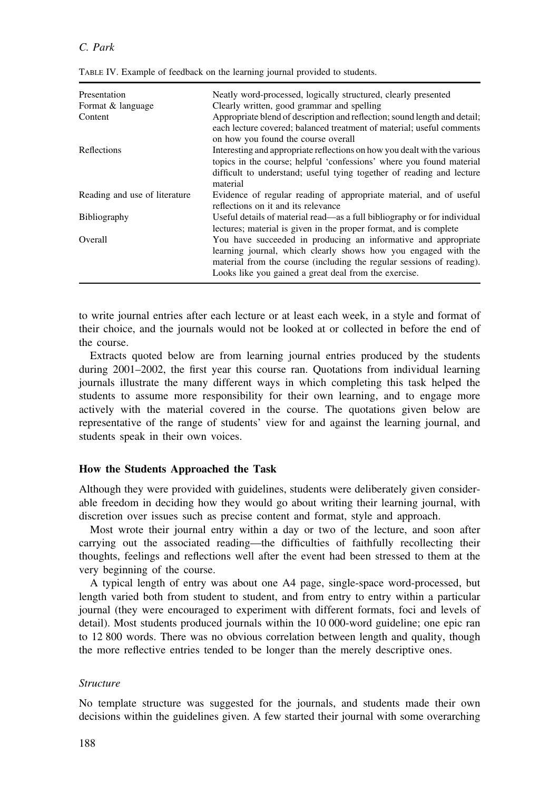| Presentation                  | Neatly word-processed, logically structured, clearly presented                                               |
|-------------------------------|--------------------------------------------------------------------------------------------------------------|
| Format & language             | Clearly written, good grammar and spelling                                                                   |
| Content                       | Appropriate blend of description and reflection; sound length and detail;                                    |
|                               | each lecture covered; balanced treatment of material; useful comments<br>on how you found the course overall |
| <b>Reflections</b>            | Interesting and appropriate reflections on how you dealt with the various                                    |
|                               | topics in the course; helpful 'confessions' where you found material                                         |
|                               | difficult to understand; useful tying together of reading and lecture                                        |
|                               | material                                                                                                     |
| Reading and use of literature | Evidence of regular reading of appropriate material, and of useful                                           |
|                               | reflections on it and its relevance                                                                          |
| <b>Bibliography</b>           | Useful details of material read—as a full bibliography or for individual                                     |
|                               | lectures; material is given in the proper format, and is complete                                            |
| Overall                       | You have succeeded in producing an informative and appropriate                                               |
|                               | learning journal, which clearly shows how you engaged with the                                               |
|                               | material from the course (including the regular sessions of reading).                                        |
|                               | Looks like you gained a great deal from the exercise.                                                        |

TABLE IV. Example of feedback on the learning journal provided to students.

to write journal entries after each lecture or at least each week, in a style and format of their choice, and the journals would not be looked at or collected in before the end of the course.

Extracts quoted below are from learning journal entries produced by the students during 2001–2002, the first year this course ran. Quotations from individual learning journals illustrate the many different ways in which completing this task helped the students to assume more responsibility for their own learning, and to engage more actively with the material covered in the course. The quotations given below are representative of the range of students' view for and against the learning journal, and students speak in their own voices.

#### **How the Students Approached the Task**

Although they were provided with guidelines, students were deliberately given considerable freedom in deciding how they would go about writing their learning journal, with discretion over issues such as precise content and format, style and approach.

Most wrote their journal entry within a day or two of the lecture, and soon after carrying out the associated reading—the difficulties of faithfully recollecting their thoughts, feelings and reflections well after the event had been stressed to them at the very beginning of the course.

A typical length of entry was about one A4 page, single-space word-processed, but length varied both from student to student, and from entry to entry within a particular journal (they were encouraged to experiment with different formats, foci and levels of detail). Most students produced journals within the 10 000-word guideline; one epic ran to 12 800 words. There was no obvious correlation between length and quality, though the more reflective entries tended to be longer than the merely descriptive ones.

#### *Structure*

No template structure was suggested for the journals, and students made their own decisions within the guidelines given. A few started their journal with some overarching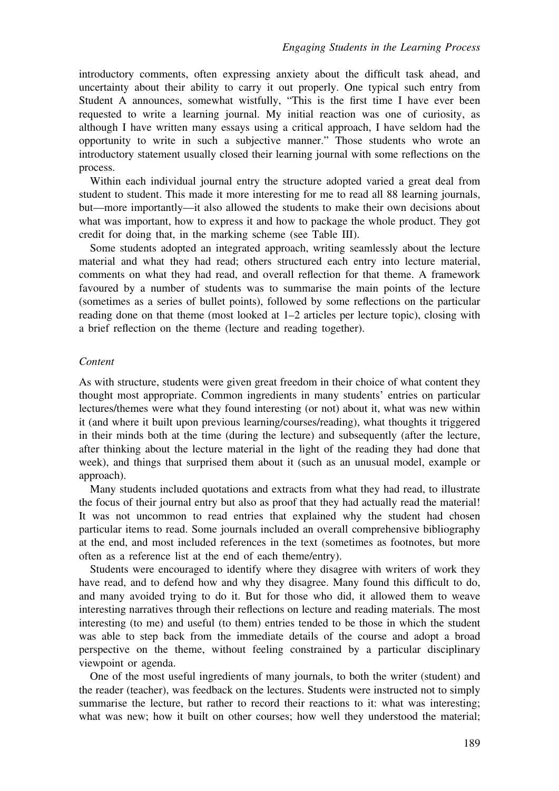introductory comments, often expressing anxiety about the difficult task ahead, and uncertainty about their ability to carry it out properly. One typical such entry from Student A announces, somewhat wistfully, "This is the first time I have ever been requested to write a learning journal. My initial reaction was one of curiosity, as although I have written many essays using a critical approach, I have seldom had the opportunity to write in such a subjective manner." Those students who wrote an introductory statement usually closed their learning journal with some reflections on the process.

Within each individual journal entry the structure adopted varied a great deal from student to student. This made it more interesting for me to read all 88 learning journals, but—more importantly—it also allowed the students to make their own decisions about what was important, how to express it and how to package the whole product. They got credit for doing that, in the marking scheme (see Table III).

Some students adopted an integrated approach, writing seamlessly about the lecture material and what they had read; others structured each entry into lecture material, comments on what they had read, and overall reflection for that theme. A framework favoured by a number of students was to summarise the main points of the lecture (sometimes as a series of bullet points), followed by some reflections on the particular reading done on that theme (most looked at  $1-2$  articles per lecture topic), closing with a brief reflection on the theme (lecture and reading together).

#### *Content*

As with structure, students were given great freedom in their choice of what content they thought most appropriate. Common ingredients in many students' entries on particular lectures/themes were what they found interesting (or not) about it, what was new within it (and where it built upon previous learning/courses/reading), what thoughts it triggered in their minds both at the time (during the lecture) and subsequently (after the lecture, after thinking about the lecture material in the light of the reading they had done that week), and things that surprised them about it (such as an unusual model, example or approach).

Many students included quotations and extracts from what they had read, to illustrate the focus of their journal entry but also as proof that they had actually read the material! It was not uncommon to read entries that explained why the student had chosen particular items to read. Some journals included an overall comprehensive bibliography at the end, and most included references in the text (sometimes as footnotes, but more often as a reference list at the end of each theme/entry).

Students were encouraged to identify where they disagree with writers of work they have read, and to defend how and why they disagree. Many found this difficult to do, and many avoided trying to do it. But for those who did, it allowed them to weave interesting narratives through their reflections on lecture and reading materials. The most interesting (to me) and useful (to them) entries tended to be those in which the student was able to step back from the immediate details of the course and adopt a broad perspective on the theme, without feeling constrained by a particular disciplinary viewpoint or agenda.

One of the most useful ingredients of many journals, to both the writer (student) and the reader (teacher), was feedback on the lectures. Students were instructed not to simply summarise the lecture, but rather to record their reactions to it: what was interesting; what was new; how it built on other courses; how well they understood the material;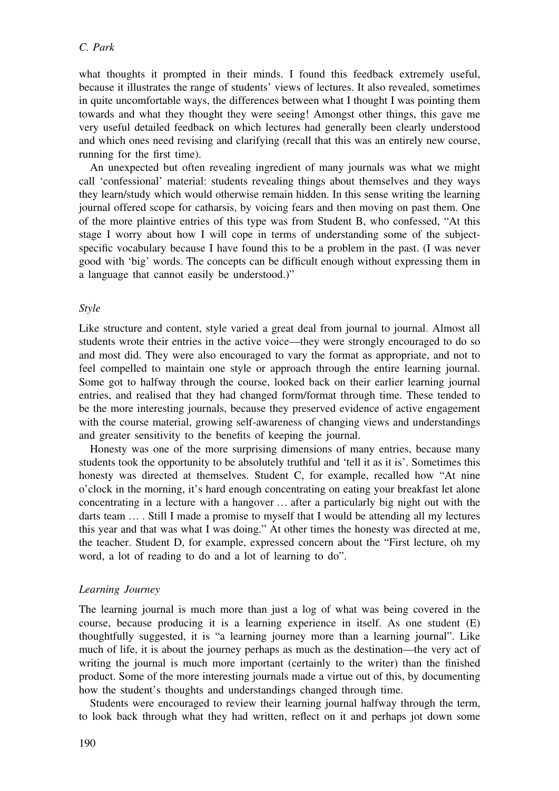what thoughts it prompted in their minds. I found this feedback extremely useful, because it illustrates the range of students' views of lectures. It also revealed, sometimes in quite uncomfortable ways, the differences between what I thought I was pointing them towards and what they thought they were seeing! Amongst other things, this gave me very useful detailed feedback on which lectures had generally been clearly understood and which ones need revising and clarifying (recall that this was an entirely new course, running for the first time).

An unexpected but often revealing ingredient of many journals was what we might call 'confessional' material: students revealing things about themselves and they ways they learn/study which would otherwise remain hidden. In this sense writing the learning journal offered scope for catharsis, by voicing fears and then moving on past them. One of the more plaintive entries of this type was from Student B, who confessed, "At this stage I worry about how I will cope in terms of understanding some of the subjectspecific vocabulary because I have found this to be a problem in the past. (I was never good with 'big' words. The concepts can be difficult enough without expressing them in a language that cannot easily be understood.)"

#### *Style*

Like structure and content, style varied a great deal from journal to journal. Almost all students wrote their entries in the active voice—they were strongly encouraged to do so and most did. They were also encouraged to vary the format as appropriate, and not to feel compelled to maintain one style or approach through the entire learning journal. Some got to halfway through the course, looked back on their earlier learning journal entries, and realised that they had changed form/format through time. These tended to be the more interesting journals, because they preserved evidence of active engagement with the course material, growing self-awareness of changing views and understandings and greater sensitivity to the benefits of keeping the journal.

Honesty was one of the more surprising dimensions of many entries, because many students took the opportunity to be absolutely truthful and 'tell it as it is'. Sometimes this honesty was directed at themselves. Student C, for example, recalled how "At nine o'clock in the morning, it's hard enough concentrating on eating your breakfast let alone concentrating in a lecture with a hangover … after a particularly big night out with the darts team … . Still I made a promise to myself that I would be attending all my lectures this year and that was what I was doing." At other times the honesty was directed at me, the teacher. Student D, for example, expressed concern about the "First lecture, oh my word, a lot of reading to do and a lot of learning to do".

#### *Learning Journey*

The learning journal is much more than just a log of what was being covered in the course, because producing it is a learning experience in itself. As one student (E) thoughtfully suggested, it is "a learning journey more than a learning journal". Like much of life, it is about the journey perhaps as much as the destination—the very act of writing the journal is much more important (certainly to the writer) than the finished product. Some of the more interesting journals made a virtue out of this, by documenting how the student's thoughts and understandings changed through time.

Students were encouraged to review their learning journal halfway through the term, to look back through what they had written, reflect on it and perhaps jot down some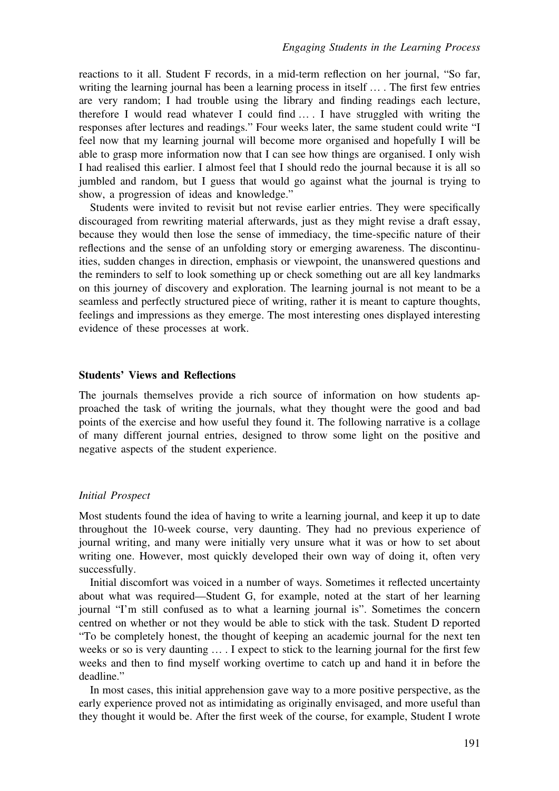reactions to it all. Student F records, in a mid-term reflection on her journal, "So far, writing the learning journal has been a learning process in itself … . The first few entries are very random; I had trouble using the library and finding readings each lecture, therefore I would read whatever I could find … . I have struggled with writing the responses after lectures and readings." Four weeks later, the same student could write "I feel now that my learning journal will become more organised and hopefully I will be able to grasp more information now that I can see how things are organised. I only wish I had realised this earlier. I almost feel that I should redo the journal because it is all so jumbled and random, but I guess that would go against what the journal is trying to show, a progression of ideas and knowledge."

Students were invited to revisit but not revise earlier entries. They were specifically discouraged from rewriting material afterwards, just as they might revise a draft essay, because they would then lose the sense of immediacy, the time-specific nature of their reflections and the sense of an unfolding story or emerging awareness. The discontinuities, sudden changes in direction, emphasis or viewpoint, the unanswered questions and the reminders to self to look something up or check something out are all key landmarks on this journey of discovery and exploration. The learning journal is not meant to be a seamless and perfectly structured piece of writing, rather it is meant to capture thoughts, feelings and impressions as they emerge. The most interesting ones displayed interesting evidence of these processes at work.

#### **Students' Views and Reflections**

The journals themselves provide a rich source of information on how students approached the task of writing the journals, what they thought were the good and bad points of the exercise and how useful they found it. The following narrative is a collage of many different journal entries, designed to throw some light on the positive and negative aspects of the student experience.

#### *Initial Prospect*

Most students found the idea of having to write a learning journal, and keep it up to date throughout the 10-week course, very daunting. They had no previous experience of journal writing, and many were initially very unsure what it was or how to set about writing one. However, most quickly developed their own way of doing it, often very successfully.

Initial discomfort was voiced in a number of ways. Sometimes it reflected uncertainty about what was required—Student G, for example, noted at the start of her learning journal "I'm still confused as to what a learning journal is". Sometimes the concern centred on whether or not they would be able to stick with the task. Student D reported "To be completely honest, the thought of keeping an academic journal for the next ten weeks or so is very daunting … . I expect to stick to the learning journal for the first few weeks and then to find myself working overtime to catch up and hand it in before the deadline."

In most cases, this initial apprehension gave way to a more positive perspective, as the early experience proved not as intimidating as originally envisaged, and more useful than they thought it would be. After the first week of the course, for example, Student I wrote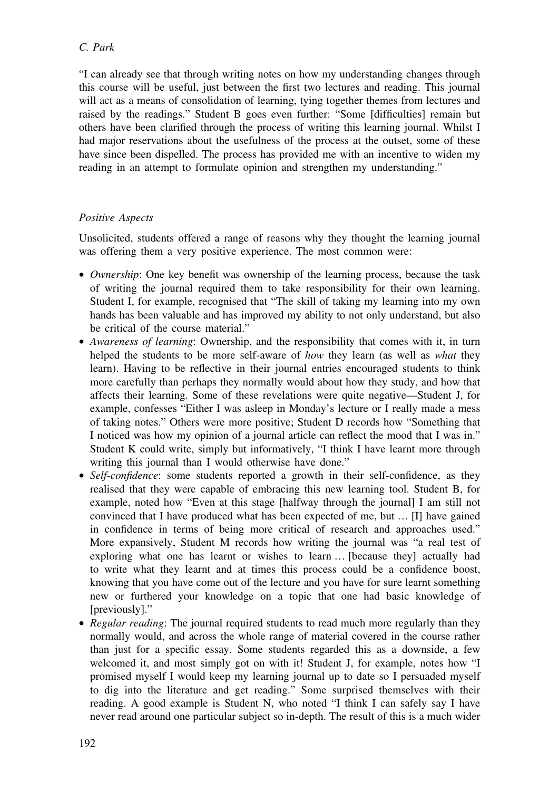"I can already see that through writing notes on how my understanding changes through this course will be useful, just between the first two lectures and reading. This journal will act as a means of consolidation of learning, tying together themes from lectures and raised by the readings." Student B goes even further: "Some [difficulties] remain but others have been clarified through the process of writing this learning journal. Whilst I had major reservations about the usefulness of the process at the outset, some of these have since been dispelled. The process has provided me with an incentive to widen my reading in an attempt to formulate opinion and strengthen my understanding."

# *Positive Aspects*

Unsolicited, students offered a range of reasons why they thought the learning journal was offering them a very positive experience. The most common were:

- *Ownership*: One key benefit was ownership of the learning process, because the task of writing the journal required them to take responsibility for their own learning. Student I, for example, recognised that "The skill of taking my learning into my own hands has been valuable and has improved my ability to not only understand, but also be critical of the course material."
- *Awareness of learning*: Ownership, and the responsibility that comes with it, in turn helped the students to be more self-aware of *how* they learn (as well as *what* they learn). Having to be reflective in their journal entries encouraged students to think more carefully than perhaps they normally would about how they study, and how that affects their learning. Some of these revelations were quite negative—Student J, for example, confesses "Either I was asleep in Monday's lecture or I really made a mess of taking notes." Others were more positive; Student D records how "Something that I noticed was how my opinion of a journal article can reflect the mood that I was in." Student K could write, simply but informatively, "I think I have learnt more through writing this journal than I would otherwise have done."
- *Self-confidence*: some students reported a growth in their self-confidence, as they realised that they were capable of embracing this new learning tool. Student B, for example, noted how "Even at this stage [halfway through the journal] I am still not convinced that I have produced what has been expected of me, but … [I] have gained in confidence in terms of being more critical of research and approaches used." More expansively, Student M records how writing the journal was "a real test of exploring what one has learnt or wishes to learn … [because they] actually had to write what they learnt and at times this process could be a confidence boost, knowing that you have come out of the lecture and you have for sure learnt something new or furthered your knowledge on a topic that one had basic knowledge of [previously]."
- *Regular reading*: The journal required students to read much more regularly than they normally would, and across the whole range of material covered in the course rather than just for a specific essay. Some students regarded this as a downside, a few welcomed it, and most simply got on with it! Student J, for example, notes how "I promised myself I would keep my learning journal up to date so I persuaded myself to dig into the literature and get reading." Some surprised themselves with their reading. A good example is Student N, who noted "I think I can safely say I have never read around one particular subject so in-depth. The result of this is a much wider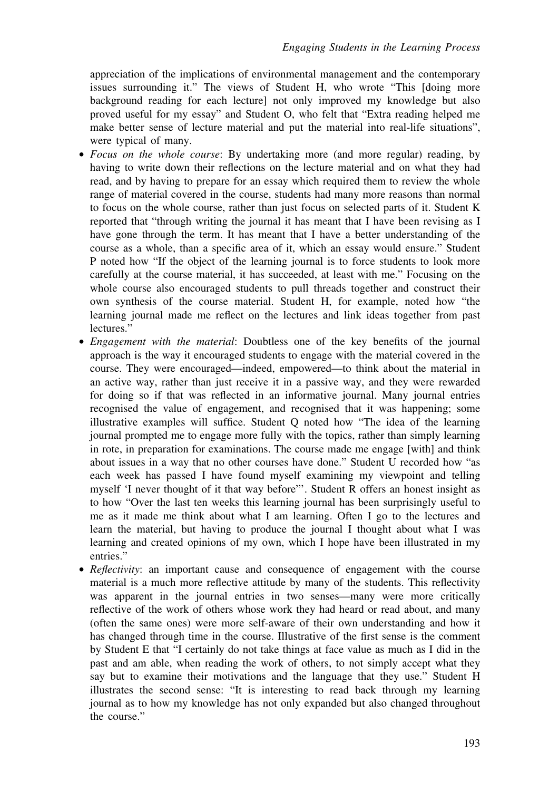appreciation of the implications of environmental management and the contemporary issues surrounding it." The views of Student H, who wrote "This [doing more background reading for each lecture] not only improved my knowledge but also proved useful for my essay" and Student O, who felt that "Extra reading helped me make better sense of lecture material and put the material into real-life situations", were typical of many.

- *Focus on the whole course*: By undertaking more (and more regular) reading, by having to write down their reflections on the lecture material and on what they had read, and by having to prepare for an essay which required them to review the whole range of material covered in the course, students had many more reasons than normal to focus on the whole course, rather than just focus on selected parts of it. Student K reported that "through writing the journal it has meant that I have been revising as I have gone through the term. It has meant that I have a better understanding of the course as a whole, than a specific area of it, which an essay would ensure." Student P noted how "If the object of the learning journal is to force students to look more carefully at the course material, it has succeeded, at least with me." Focusing on the whole course also encouraged students to pull threads together and construct their own synthesis of the course material. Student H, for example, noted how "the learning journal made me reflect on the lectures and link ideas together from past lectures."
- *Engagement with the material*: Doubtless one of the key benefits of the journal approach is the way it encouraged students to engage with the material covered in the course. They were encouraged—indeed, empowered—to think about the material in an active way, rather than just receive it in a passive way, and they were rewarded for doing so if that was reflected in an informative journal. Many journal entries recognised the value of engagement, and recognised that it was happening; some illustrative examples will suffice. Student Q noted how "The idea of the learning journal prompted me to engage more fully with the topics, rather than simply learning in rote, in preparation for examinations. The course made me engage [with] and think about issues in a way that no other courses have done." Student U recorded how "as each week has passed I have found myself examining my viewpoint and telling myself 'I never thought of it that way before"'. Student R offers an honest insight as to how "Over the last ten weeks this learning journal has been surprisingly useful to me as it made me think about what I am learning. Often I go to the lectures and learn the material, but having to produce the journal I thought about what I was learning and created opinions of my own, which I hope have been illustrated in my entries."
- *Reflectivity*: an important cause and consequence of engagement with the course material is a much more reflective attitude by many of the students. This reflectivity was apparent in the journal entries in two senses—many were more critically reflective of the work of others whose work they had heard or read about, and many (often the same ones) were more self-aware of their own understanding and how it has changed through time in the course. Illustrative of the first sense is the comment by Student E that "I certainly do not take things at face value as much as I did in the past and am able, when reading the work of others, to not simply accept what they say but to examine their motivations and the language that they use." Student H illustrates the second sense: "It is interesting to read back through my learning journal as to how my knowledge has not only expanded but also changed throughout the course."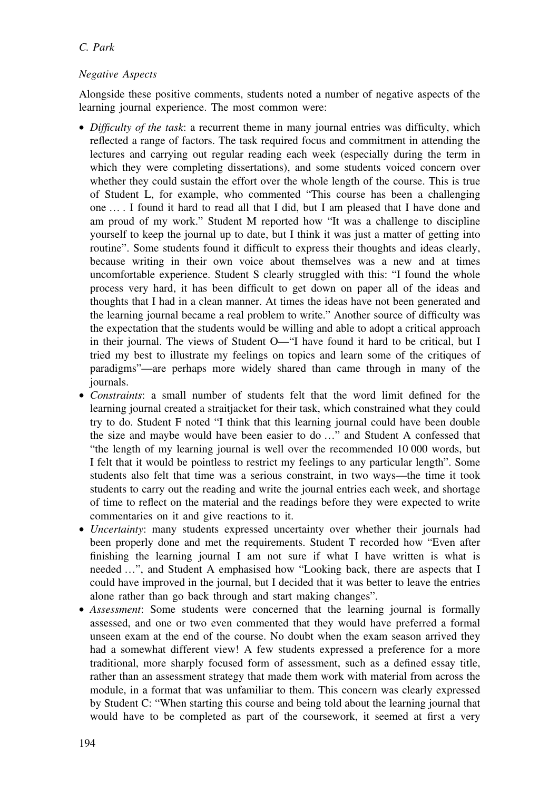# *C. Park*

# *Negative Aspects*

Alongside these positive comments, students noted a number of negative aspects of the learning journal experience. The most common were:

- *Difficulty of the task*: a recurrent theme in many journal entries was difficulty, which reflected a range of factors. The task required focus and commitment in attending the lectures and carrying out regular reading each week (especially during the term in which they were completing dissertations), and some students voiced concern over whether they could sustain the effort over the whole length of the course. This is true of Student L, for example, who commented "This course has been a challenging one … . I found it hard to read all that I did, but I am pleased that I have done and am proud of my work." Student M reported how "It was a challenge to discipline yourself to keep the journal up to date, but I think it was just a matter of getting into routine". Some students found it difficult to express their thoughts and ideas clearly, because writing in their own voice about themselves was a new and at times uncomfortable experience. Student S clearly struggled with this: "I found the whole process very hard, it has been difficult to get down on paper all of the ideas and thoughts that I had in a clean manner. At times the ideas have not been generated and the learning journal became a real problem to write." Another source of difficulty was the expectation that the students would be willing and able to adopt a critical approach in their journal. The views of Student O—"I have found it hard to be critical, but I tried my best to illustrate my feelings on topics and learn some of the critiques of paradigms"—are perhaps more widely shared than came through in many of the journals.
- *Constraints*: a small number of students felt that the word limit defined for the learning journal created a straitjacket for their task, which constrained what they could try to do. Student F noted "I think that this learning journal could have been double the size and maybe would have been easier to do …" and Student A confessed that "the length of my learning journal is well over the recommended 10 000 words, but I felt that it would be pointless to restrict my feelings to any particular length". Some students also felt that time was a serious constraint, in two ways—the time it took students to carry out the reading and write the journal entries each week, and shortage of time to reflect on the material and the readings before they were expected to write commentaries on it and give reactions to it.
- *Uncertainty*: many students expressed uncertainty over whether their journals had been properly done and met the requirements. Student T recorded how "Even after finishing the learning journal I am not sure if what I have written is what is needed …", and Student A emphasised how "Looking back, there are aspects that I could have improved in the journal, but I decided that it was better to leave the entries alone rather than go back through and start making changes".
- *Assessment*: Some students were concerned that the learning journal is formally assessed, and one or two even commented that they would have preferred a formal unseen exam at the end of the course. No doubt when the exam season arrived they had a somewhat different view! A few students expressed a preference for a more traditional, more sharply focused form of assessment, such as a defined essay title, rather than an assessment strategy that made them work with material from across the module, in a format that was unfamiliar to them. This concern was clearly expressed by Student C: "When starting this course and being told about the learning journal that would have to be completed as part of the coursework, it seemed at first a very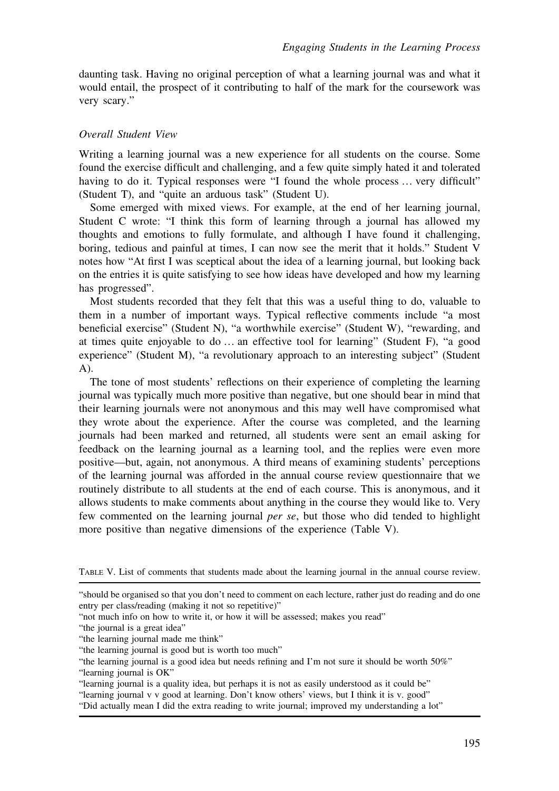daunting task. Having no original perception of what a learning journal was and what it would entail, the prospect of it contributing to half of the mark for the coursework was very scary."

#### *Overall Student View*

Writing a learning journal was a new experience for all students on the course. Some found the exercise difficult and challenging, and a few quite simply hated it and tolerated having to do it. Typical responses were "I found the whole process ... very difficult" (Student T), and "quite an arduous task" (Student U).

Some emerged with mixed views. For example, at the end of her learning journal, Student C wrote: "I think this form of learning through a journal has allowed my thoughts and emotions to fully formulate, and although I have found it challenging, boring, tedious and painful at times, I can now see the merit that it holds." Student V notes how "At first I was sceptical about the idea of a learning journal, but looking back on the entries it is quite satisfying to see how ideas have developed and how my learning has progressed".

Most students recorded that they felt that this was a useful thing to do, valuable to them in a number of important ways. Typical reflective comments include "a most beneficial exercise" (Student N), "a worthwhile exercise" (Student W), "rewarding, and at times quite enjoyable to do … an effective tool for learning" (Student F), "a good experience" (Student M), "a revolutionary approach to an interesting subject" (Student A).

The tone of most students' reflections on their experience of completing the learning journal was typically much more positive than negative, but one should bear in mind that their learning journals were not anonymous and this may well have compromised what they wrote about the experience. After the course was completed, and the learning journals had been marked and returned, all students were sent an email asking for feedback on the learning journal as a learning tool, and the replies were even more positive—but, again, not anonymous. A third means of examining students' perceptions of the learning journal was afforded in the annual course review questionnaire that we routinely distribute to all students at the end of each course. This is anonymous, and it allows students to make comments about anything in the course they would like to. Very few commented on the learning journal *per se*, but those who did tended to highlight more positive than negative dimensions of the experience (Table V).

TABLE V. List of comments that students made about the learning journal in the annual course review.

"learning journal v v good at learning. Don't know others' views, but I think it is v. good"

<sup>&</sup>quot;should be organised so that you don't need to comment on each lecture, rather just do reading and do one entry per class/reading (making it not so repetitive)"

<sup>&</sup>quot;not much info on how to write it, or how it will be assessed; makes you read"

<sup>&</sup>quot;the journal is a great idea"

<sup>&</sup>quot;the learning journal made me think"

<sup>&</sup>quot;the learning journal is good but is worth too much"

<sup>&</sup>quot;the learning journal is a good idea but needs refining and I'm not sure it should be worth 50%"

<sup>&</sup>quot;learning journal is OK"

<sup>&</sup>quot;learning journal is a quality idea, but perhaps it is not as easily understood as it could be"

<sup>&</sup>quot;Did actually mean I did the extra reading to write journal; improved my understanding a lot"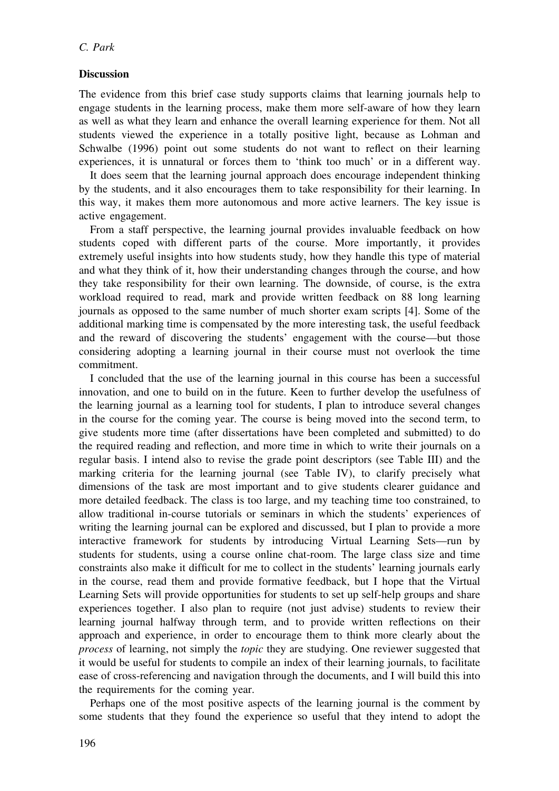## **Discussion**

The evidence from this brief case study supports claims that learning journals help to engage students in the learning process, make them more self-aware of how they learn as well as what they learn and enhance the overall learning experience for them. Not all students viewed the experience in a totally positive light, because as Lohman and Schwalbe (1996) point out some students do not want to reflect on their learning experiences, it is unnatural or forces them to 'think too much' or in a different way.

It does seem that the learning journal approach does encourage independent thinking by the students, and it also encourages them to take responsibility for their learning. In this way, it makes them more autonomous and more active learners. The key issue is active engagement.

From a staff perspective, the learning journal provides invaluable feedback on how students coped with different parts of the course. More importantly, it provides extremely useful insights into how students study, how they handle this type of material and what they think of it, how their understanding changes through the course, and how they take responsibility for their own learning. The downside, of course, is the extra workload required to read, mark and provide written feedback on 88 long learning journals as opposed to the same number of much shorter exam scripts [4]. Some of the additional marking time is compensated by the more interesting task, the useful feedback and the reward of discovering the students' engagement with the course—but those considering adopting a learning journal in their course must not overlook the time commitment.

I concluded that the use of the learning journal in this course has been a successful innovation, and one to build on in the future. Keen to further develop the usefulness of the learning journal as a learning tool for students, I plan to introduce several changes in the course for the coming year. The course is being moved into the second term, to give students more time (after dissertations have been completed and submitted) to do the required reading and reflection, and more time in which to write their journals on a regular basis. I intend also to revise the grade point descriptors (see Table III) and the marking criteria for the learning journal (see Table IV), to clarify precisely what dimensions of the task are most important and to give students clearer guidance and more detailed feedback. The class is too large, and my teaching time too constrained, to allow traditional in-course tutorials or seminars in which the students' experiences of writing the learning journal can be explored and discussed, but I plan to provide a more interactive framework for students by introducing Virtual Learning Sets—run by students for students, using a course online chat-room. The large class size and time constraints also make it difficult for me to collect in the students' learning journals early in the course, read them and provide formative feedback, but I hope that the Virtual Learning Sets will provide opportunities for students to set up self-help groups and share experiences together. I also plan to require (not just advise) students to review their learning journal halfway through term, and to provide written reflections on their approach and experience, in order to encourage them to think more clearly about the *process* of learning, not simply the *topic* they are studying. One reviewer suggested that it would be useful for students to compile an index of their learning journals, to facilitate ease of cross-referencing and navigation through the documents, and I will build this into the requirements for the coming year.

Perhaps one of the most positive aspects of the learning journal is the comment by some students that they found the experience so useful that they intend to adopt the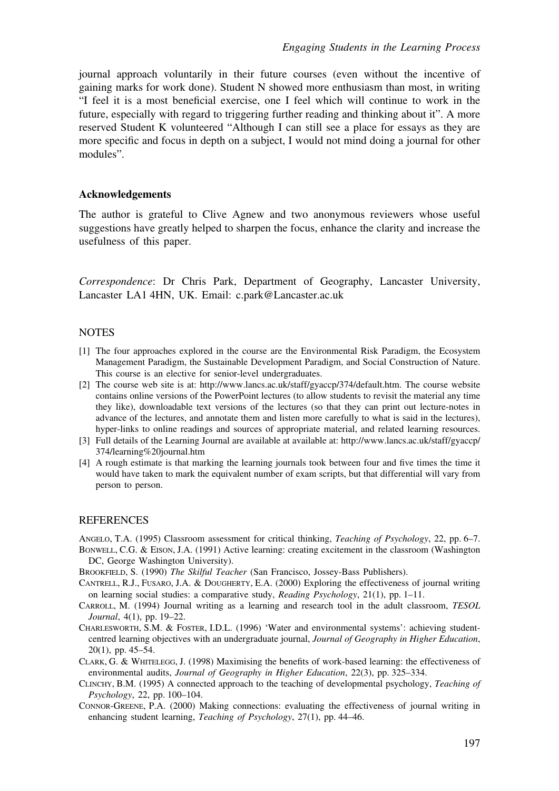journal approach voluntarily in their future courses (even without the incentive of gaining marks for work done). Student N showed more enthusiasm than most, in writing "I feel it is a most beneficial exercise, one I feel which will continue to work in the future, especially with regard to triggering further reading and thinking about it". A more reserved Student K volunteered "Although I can still see a place for essays as they are more specific and focus in depth on a subject, I would not mind doing a journal for other modules".

## **Acknowledgements**

The author is grateful to Clive Agnew and two anonymous reviewers whose useful suggestions have greatly helped to sharpen the focus, enhance the clarity and increase the usefulness of this paper.

*Correspondence*: Dr Chris Park, Department of Geography, Lancaster University, Lancaster LA1 4HN, UK. Email: c.park@Lancaster.ac.uk

## **NOTES**

- [1] The four approaches explored in the course are the Environmental Risk Paradigm, the Ecosystem Management Paradigm, the Sustainable Development Paradigm, and Social Construction of Nature. This course is an elective for senior-level undergraduates.
- [2] The course web site is at: http://www.lancs.ac.uk/staff/gyaccp/374/default.htm. The course website contains online versions of the PowerPoint lectures (to allow students to revisit the material any time they like), downloadable text versions of the lectures (so that they can print out lecture-notes in advance of the lectures, and annotate them and listen more carefully to what is said in the lectures), hyper-links to online readings and sources of appropriate material, and related learning resources.
- [3] Full details of the Learning Journal are available at available at: http://www.lancs.ac.uk/staff/gyaccp/ 374/learning%20journal.htm
- [4] A rough estimate is that marking the learning journals took between four and five times the time it would have taken to mark the equivalent number of exam scripts, but that differential will vary from person to person.

#### **REFERENCES**

ANGELO, T.A. (1995) Classroom assessment for critical thinking, *Teaching of Psychology*, 22, pp. 6–7.

- BONWELL, C.G. & EISON, J.A. (1991) Active learning: creating excitement in the classroom (Washington DC, George Washington University).
- BROOKFIELD, S. (1990) *The Skilful Teacher* (San Francisco, Jossey-Bass Publishers).
- CANTRELL, R.J., FUSARO, J.A. & DOUGHERTY, E.A. (2000) Exploring the effectiveness of journal writing on learning social studies: a comparative study, *Reading Psychology*, 21(1), pp. 1–11.
- CARROLL, M. (1994) Journal writing as a learning and research tool in the adult classroom, *TESOL Journal*, 4(1), pp. 19–22.
- CHARLESWORTH, S.M. & FOSTER, I.D.L. (1996) 'Water and environmental systems': achieving studentcentred learning objectives with an undergraduate journal, *Journal of Geography in Higher Education*, 20(1), pp. 45–54.
- CLARK, G.&WHITELEGG, J. (1998) Maximising the benefits of work-based learning: the effectiveness of environmental audits, *Journal of Geography in Higher Education*, 22(3), pp. 325–334.
- CLINCHY, B.M. (1995) A connected approach to the teaching of developmental psychology, *Teaching of Psychology*, 22, pp. 100–104.
- CONNOR-GREENE, P.A. (2000) Making connections: evaluating the effectiveness of journal writing in enhancing student learning, *Teaching of Psychology*, 27(1), pp. 44–46.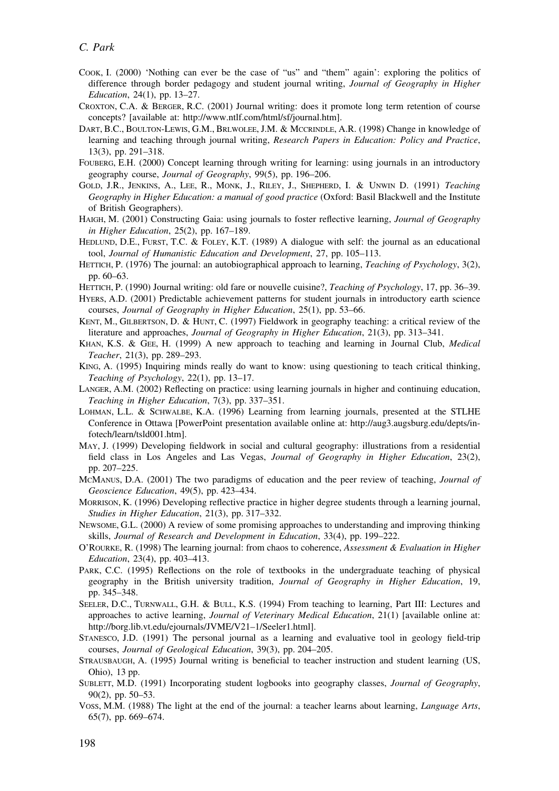- COOK, I. (2000) 'Nothing can ever be the case of "us" and "them" again': exploring the politics of difference through border pedagogy and student journal writing, *Journal of Geography in Higher Education*, 24(1), pp. 13–27.
- CROXTON, C.A. & BERGER, R.C. (2001) Journal writing: does it promote long term retention of course concepts? [available at: http://www.ntlf.com/html/sf/journal.htm].
- DART, B.C., BOULTON-LEWIS, G.M., BRLWOLEE, J.M. & MCCRINDLE, A.R. (1998) Change in knowledge of learning and teaching through journal writing, *Research Papers in Education: Policy and Practice*, 13(3), pp. 291–318.
- FOUBERG, E.H. (2000) Concept learning through writing for learning: using journals in an introductory geography course, *Journal of Geography*, 99(5), pp. 196–206.
- GOLD, J.R., JENKINS, A., LEE, R., MONK, J., RILEY, J., SHEPHERD, I.&UNWIN D. (1991) *Teaching Geography in Higher Education: a manual of good practice* (Oxford: Basil Blackwell and the Institute of British Geographers).
- HAIGH, M. (2001) Constructing Gaia: using journals to foster reflective learning, *Journal of Geography in Higher Education*, 25(2), pp. 167–189.
- HEDLUND, D.E., FURST, T.C. & FOLEY, K.T. (1989) A dialogue with self: the journal as an educational tool, *Journal of Humanistic Education and Development*, 27, pp. 105–113.
- HETTICH, P. (1976) The journal: an autobiographical approach to learning, *Teaching of Psychology*, 3(2), pp. 60–63.
- HETTICH, P. (1990) Journal writing: old fare or nouvelle cuisine?, *Teaching of Psychology*, 17, pp. 36–39.
- HYERS, A.D. (2001) Predictable achievement patterns for student journals in introductory earth science courses, *Journal of Geography in Higher Education*, 25(1), pp. 53–66.
- KENT, M., GILBERTSON, D.&HUNT, C. (1997) Fieldwork in geography teaching: a critical review of the literature and approaches, *Journal of Geography in Higher Education*, 21(3), pp. 313–341.
- KHAN, K.S. & GEE, H. (1999) A new approach to teaching and learning in Journal Club, *Medical Teacher*, 21(3), pp. 289–293.
- KING, A. (1995) Inquiring minds really do want to know: using questioning to teach critical thinking, *Teaching of Psychology*, 22(1), pp. 13–17.
- LANGER, A.M. (2002) Reflecting on practice: using learning journals in higher and continuing education, *Teaching in Higher Education*, 7(3), pp. 337–351.
- LOHMAN, L.L. & SCHWALBE, K.A. (1996) Learning from learning journals, presented at the STLHE Conference in Ottawa [PowerPoint presentation available online at: http://aug3.augsburg.edu/depts/infotech/learn/tsld001.htm].
- MAY, J. (1999) Developing fieldwork in social and cultural geography: illustrations from a residential field class in Los Angeles and Las Vegas, *Journal of Geography in Higher Education*, 23(2), pp. 207–225.
- MCMANUS, D.A. (2001) The two paradigms of education and the peer review of teaching, *Journal of Geoscience Education*, 49(5), pp. 423–434.
- MORRISON, K. (1996) Developing reflective practice in higher degree students through a learning journal, *Studies in Higher Education*, 21(3), pp. 317–332.
- NEWSOME, G.L. (2000) A review of some promising approaches to understanding and improving thinking skills, *Journal of Research and Development in Education*, 33(4), pp. 199–222.
- O'ROURKE, R. (1998) The learning journal: from chaos to coherence, *Assessment & Evaluation in Higher Education*, 23(4), pp. 403–413.
- PARK, C.C. (1995) Reflections on the role of textbooks in the undergraduate teaching of physical geography in the British university tradition, *Journal of Geography in Higher Education*, 19, pp. 345–348.
- SEELER, D.C., TURNWALL, G.H. & BULL, K.S. (1994) From teaching to learning, Part III: Lectures and approaches to active learning, *Journal of Veterinary Medical Education*, 21(1) [available online at: http://borg.lib.vt.edu/ejournals/JVME/V21–1/Seeler1.html].
- STANESCO, J.D. (1991) The personal journal as a learning and evaluative tool in geology field-trip courses, *Journal of Geological Education*, 39(3), pp. 204–205.
- STRAUSBAUGH, A. (1995) Journal writing is beneficial to teacher instruction and student learning (US, Ohio), 13 pp.
- SUBLETT, M.D. (1991) Incorporating student logbooks into geography classes, *Journal of Geography*, 90(2), pp. 50–53.
- VOSS, M.M. (1988) The light at the end of the journal: a teacher learns about learning, *Language Arts*, 65(7), pp. 669–674.